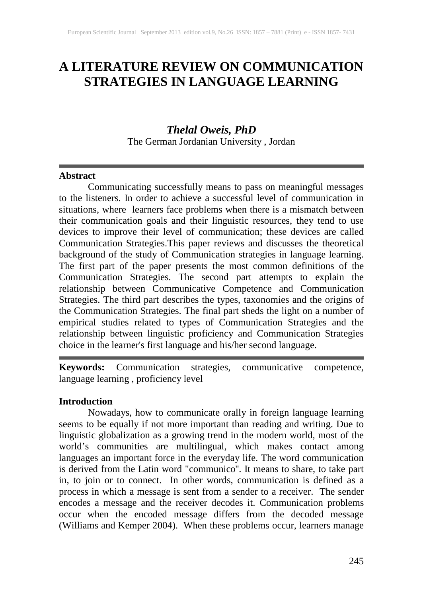# **A LITERATURE REVIEW ON COMMUNICATION STRATEGIES IN LANGUAGE LEARNING**

# *Thelal Oweis, PhD*

The German Jordanian University , Jordan

#### **Abstract**

Communicating successfully means to pass on meaningful messages to the listeners. In order to achieve a successful level of communication in situations, where learners face problems when there is a mismatch between their communication goals and their linguistic resources, they tend to use devices to improve their level of communication; these devices are called Communication Strategies.This paper reviews and discusses the theoretical background of the study of Communication strategies in language learning. The first part of the paper presents the most common definitions of the Communication Strategies. The second part attempts to explain the relationship between Communicative Competence and Communication Strategies. The third part describes the types, taxonomies and the origins of the Communication Strategies. The final part sheds the light on a number of empirical studies related to types of Communication Strategies and the relationship between linguistic proficiency and Communication Strategies choice in the learner's first language and his/her second language.

**Keywords:** Communication strategies, communicative competence, language learning , proficiency level

#### **Introduction**

Nowadays, how to communicate orally in foreign language learning seems to be equally if not more important than reading and writing. Due to linguistic globalization as a growing trend in the modern world, most of the world's communities are multilingual, which makes contact among languages an important force in the everyday life. The word communication is derived from the Latin word "communico''. It means to share, to take part in, to join or to connect. In other words, communication is defined as a process in which a message is sent from a sender to a receiver. The sender encodes a message and the receiver decodes it. Communication problems occur when the encoded message differs from the decoded message (Williams and Kemper 2004). When these problems occur, learners manage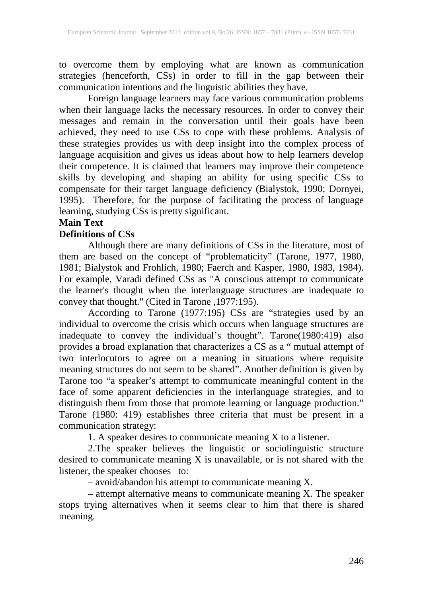to overcome them by employing what are known as communication strategies (henceforth, CSs) in order to fill in the gap between their communication intentions and the linguistic abilities they have.

Foreign language learners may face various communication problems when their language lacks the necessary resources. In order to convey their messages and remain in the conversation until their goals have been achieved, they need to use CSs to cope with these problems. Analysis of these strategies provides us with deep insight into the complex process of language acquisition and gives us ideas about how to help learners develop their competence. It is claimed that learners may improve their competence skills by developing and shaping an ability for using specific CSs to compensate for their target language deficiency (Bialystok, 1990; Dornyei, 1995). Therefore, for the purpose of facilitating the process of language learning, studying CSs is pretty significant.

# **Main Text**

### **Definitions of CSs**

Although there are many definitions of CSs in the literature, most of them are based on the concept of "problematicity" (Tarone, 1977, 1980, 1981; Bialystok and Frohlich, 1980; Faerch and Kasper, 1980, 1983, 1984). For example, Varadi defined CSs as "A conscious attempt to communicate the learner's thought when the interlanguage structures are inadequate to convey that thought." (Cited in Tarone ,1977:195).

According to Tarone (1977:195) CSs are "strategies used by an individual to overcome the crisis which occurs when language structures are inadequate to convey the individual's thought". Tarone(1980:419) also provides a broad explanation that characterizes a CS as a " mutual attempt of two interlocutors to agree on a meaning in situations where requisite meaning structures do not seem to be shared". Another definition is given by Tarone too "a speaker's attempt to communicate meaningful content in the face of some apparent deficiencies in the interlanguage strategies, and to distinguish them from those that promote learning or language production." Tarone (1980: 419) establishes three criteria that must be present in a communication strategy:

1. A speaker desires to communicate meaning X to a listener.

2.The speaker believes the linguistic or sociolinguistic structure desired to communicate meaning X is unavailable, or is not shared with the listener, the speaker chooses to:

– avoid/abandon his attempt to communicate meaning X.

– attempt alternative means to communicate meaning X. The speaker stops trying alternatives when it seems clear to him that there is shared meaning.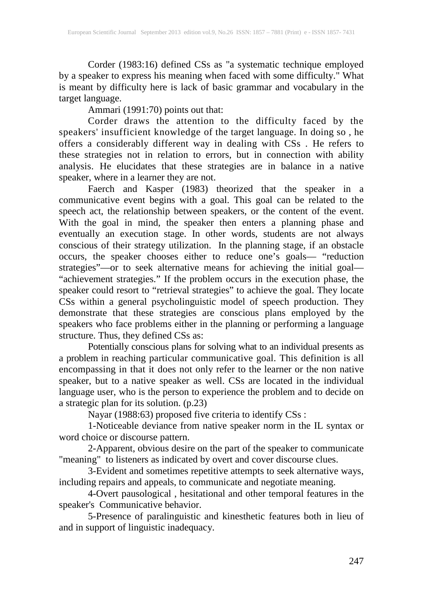Corder (1983:16) defined CSs as "a systematic technique employed by a speaker to express his meaning when faced with some difficulty." What is meant by difficulty here is lack of basic grammar and vocabulary in the target language.

Ammari (1991:70) points out that:

Corder draws the attention to the difficulty faced by the speakers' insufficient knowledge of the target language. In doing so , he offers a considerably different way in dealing with CSs . He refers to these strategies not in relation to errors, but in connection with ability analysis. He elucidates that these strategies are in balance in a native speaker, where in a learner they are not.

Faerch and Kasper (1983) theorized that the speaker in a communicative event begins with a goal. This goal can be related to the speech act, the relationship between speakers, or the content of the event. With the goal in mind, the speaker then enters a planning phase and eventually an execution stage. In other words, students are not always conscious of their strategy utilization. In the planning stage, if an obstacle occurs, the speaker chooses either to reduce one's goals— "reduction strategies"—or to seek alternative means for achieving the initial goal— "achievement strategies." If the problem occurs in the execution phase, the speaker could resort to "retrieval strategies" to achieve the goal. They locate CSs within a general psycholinguistic model of speech production. They demonstrate that these strategies are conscious plans employed by the speakers who face problems either in the planning or performing a language structure. Thus, they defined CSs as:

Potentially conscious plans for solving what to an individual presents as a problem in reaching particular communicative goal. This definition is all encompassing in that it does not only refer to the learner or the non native speaker, but to a native speaker as well. CSs are located in the individual language user, who is the person to experience the problem and to decide on a strategic plan for its solution. (p.23)

Nayar (1988:63) proposed five criteria to identify CSs :

1-Noticeable deviance from native speaker norm in the IL syntax or word choice or discourse pattern.

2-Apparent, obvious desire on the part of the speaker to communicate "meaning" to listeners as indicated by overt and cover discourse clues.

3-Evident and sometimes repetitive attempts to seek alternative ways, including repairs and appeals, to communicate and negotiate meaning.

4-Overt pausological , hesitational and other temporal features in the speaker's Communicative behavior.

5-Presence of paralinguistic and kinesthetic features both in lieu of and in support of linguistic inadequacy.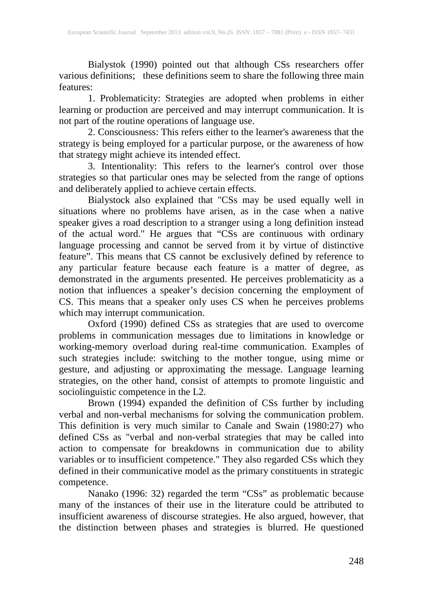Bialystok (1990) pointed out that although CSs researchers offer various definitions; these definitions seem to share the following three main features:

1. Problematicity: Strategies are adopted when problems in either learning or production are perceived and may interrupt communication. It is not part of the routine operations of language use.<br>2. Consciousness: This refers either to the learner's awareness that the

2. Consciousness: This refers either to the learner's awareness that the strategy is being employed for a particular purpose, or the awareness of how that strategy might achieve its intended effect.

3. Intentionality: This refers to the learner's control over those strategies so that particular ones may be selected from the range of options and deliberately applied to achieve certain effects.

Bialystock also explained that "CSs may be used equally well in situations where no problems have arisen, as in the case when a native speaker gives a road description to a stranger using a long definition instead of the actual word." He argues that "CSs are continuous with ordinary language processing and cannot be served from it by virtue of distinctive feature". This means that CS cannot be exclusively defined by reference to any particular feature because each feature is a matter of degree, as demonstrated in the arguments presented. He perceives problematicity as a notion that influences a speaker's decision concerning the employment of CS. This means that a speaker only uses CS when he perceives problems which may interrupt communication.

Oxford (1990) defined CSs as strategies that are used to overcome problems in communication messages due to limitations in knowledge or working-memory overload during real-time communication. Examples of such strategies include: switching to the mother tongue, using mime or gesture, and adjusting or approximating the message. Language learning strategies, on the other hand, consist of attempts to promote linguistic and sociolinguistic competence in the L2.

Brown (1994) expanded the definition of CSs further by including verbal and non-verbal mechanisms for solving the communication problem. This definition is very much similar to Canale and Swain (1980:27) who defined CSs as "verbal and non-verbal strategies that may be called into action to compensate for breakdowns in communication due to ability variables or to insufficient competence." They also regarded CSs which they defined in their communicative model as the primary constituents in strategic competence.

Nanako (1996: 32) regarded the term "CSs" as problematic because many of the instances of their use in the literature could be attributed to insufficient awareness of discourse strategies. He also argued, however, that the distinction between phases and strategies is blurred. He questioned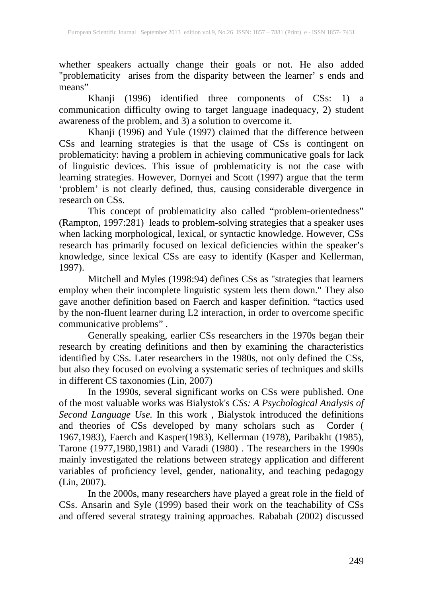whether speakers actually change their goals or not. He also added "problematicity arises from the disparity between the learner' s ends and means"

Khanji (1996) identified three components of CSs: 1) a communication difficulty owing to target language inadequacy, 2) student awareness of the problem, and 3) a solution to overcome it.

Khanji (1996) and Yule (1997) claimed that the difference between CSs and learning strategies is that the usage of CSs is contingent on problematicity: having a problem in achieving communicative goals for lack of linguistic devices. This issue of problematicity is not the case with learning strategies. However, Dornyei and Scott (1997) argue that the term 'problem' is not clearly defined, thus, causing considerable divergence in research on CSs.

This concept of problematicity also called "problem-orientedness" (Rampton, 1997:281) leads to problem-solving strategies that a speaker uses when lacking morphological, lexical, or syntactic knowledge. However, CSs research has primarily focused on lexical deficiencies within the speaker's knowledge, since lexical CSs are easy to identify (Kasper and Kellerman, 1997).

Mitchell and Myles (1998:94) defines CSs as "strategies that learners employ when their incomplete linguistic system lets them down." They also gave another definition based on Faerch and kasper definition. "tactics used by the non-fluent learner during L2 interaction, in order to overcome specific communicative problems" .

Generally speaking, earlier CSs researchers in the 1970s began their research by creating definitions and then by examining the characteristics identified by CSs. Later researchers in the 1980s, not only defined the CSs, but also they focused on evolving a systematic series of techniques and skills in different CS taxonomies (Lin, 2007)

In the 1990s, several significant works on CSs were published. One of the most valuable works was Bialystok's *CSs: A Psychological Analysis of Second Language Use.* In this work , Bialystok introduced the definitions and theories of CSs developed by many scholars such as Corder ( 1967,1983), Faerch and Kasper(1983), Kellerman (1978), Paribakht (1985), Tarone (1977,1980,1981) and Varadi (1980) . The researchers in the 1990s mainly investigated the relations between strategy application and different variables of proficiency level, gender, nationality, and teaching pedagogy (Lin, 2007).

In the 2000s, many researchers have played a great role in the field of CSs. Ansarin and Syle (1999) based their work on the teachability of CSs and offered several strategy training approaches. Rababah (2002) discussed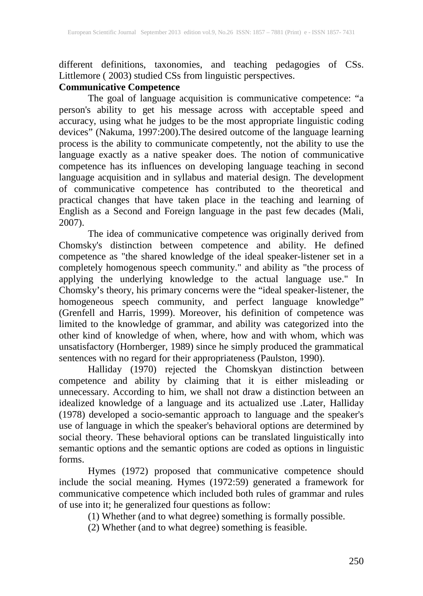different definitions, taxonomies, and teaching pedagogies of CSs. Littlemore ( 2003) studied CSs from linguistic perspectives.

# **Communicative Competence**

The goal of language acquisition is communicative competence: "a person's ability to get his message across with acceptable speed and accuracy, using what he judges to be the most appropriate linguistic coding devices" (Nakuma, 1997:200).The desired outcome of the language learning process is the ability to communicate competently, not the ability to use the language exactly as a native speaker does. The notion of communicative competence has its influences on developing language teaching in second language acquisition and in syllabus and material design. The development of communicative competence has contributed to the theoretical and practical changes that have taken place in the teaching and learning of English as a Second and Foreign language in the past few decades (Mali, 2007).

The idea of communicative competence was originally derived from Chomsky's distinction between competence and ability. He defined competence as "the shared knowledge of the ideal speaker-listener set in a completely homogenous speech community." and ability as "the process of applying the underlying knowledge to the actual language use." In Chomsky's theory, his primary concerns were the "ideal speaker-listener, the homogeneous speech community, and perfect language knowledge" (Grenfell and Harris, 1999). Moreover, his definition of competence was limited to the knowledge of grammar, and ability was categorized into the other kind of knowledge of when, where, how and with whom, which was unsatisfactory (Hornberger, 1989) since he simply produced the grammatical sentences with no regard for their appropriateness (Paulston, 1990).

Halliday (1970) rejected the Chomskyan distinction between competence and ability by claiming that it is either misleading or unnecessary. According to him, we shall not draw a distinction between an idealized knowledge of a language and its actualized use .Later, Halliday (1978) developed a socio-semantic approach to language and the speaker's use of language in which the speaker's behavioral options are determined by social theory. These behavioral options can be translated linguistically into semantic options and the semantic options are coded as options in linguistic forms.

Hymes (1972) proposed that communicative competence should include the social meaning. Hymes (1972:59) generated a framework for communicative competence which included both rules of grammar and rules of use into it; he generalized four questions as follow:

(1) Whether (and to what degree) something is formally possible.

(2) Whether (and to what degree) something is feasible.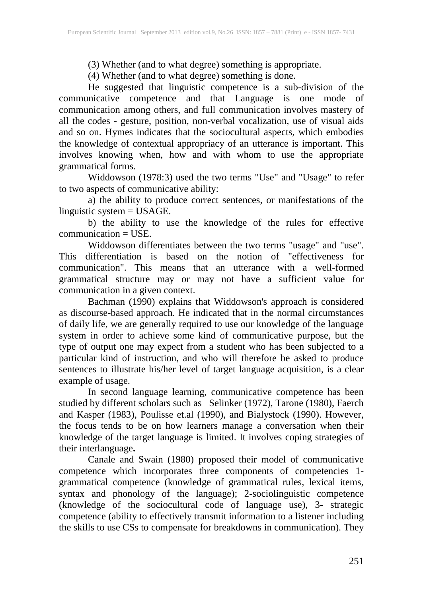(3) Whether (and to what degree) something is appropriate.

(4) Whether (and to what degree) something is done.

He suggested that linguistic competence is a sub-division of the communicative competence and that Language is one mode of communication among others, and full communication involves mastery of all the codes - gesture, position, non-verbal vocalization, use of visual aids and so on. Hymes indicates that the sociocultural aspects, which embodies the knowledge of contextual appropriacy of an utterance is important. This involves knowing when, how and with whom to use the appropriate grammatical forms.

Widdowson (1978:3) used the two terms "Use" and "Usage" to refer to two aspects of communicative ability:

a) the ability to produce correct sentences, or manifestations of the linguistic system  $=$  USAGE.

b) the ability to use the knowledge of the rules for effective communication = USE.

Widdowson differentiates between the two terms "usage" and "use". This differentiation is based on the notion of "effectiveness for communication". This means that an utterance with a well-formed grammatical structure may or may not have a sufficient value for communication in a given context.

Bachman (1990) explains that Widdowson's approach is considered as discourse-based approach. He indicated that in the normal circumstances of daily life, we are generally required to use our knowledge of the language system in order to achieve some kind of communicative purpose, but the type of output one may expect from a student who has been subjected to a particular kind of instruction, and who will therefore be asked to produce sentences to illustrate his/her level of target language acquisition, is a clear example of usage.

In second language learning, communicative competence has been studied by different scholars such as Selinker (1972), Tarone (1980), Faerch and Kasper (1983), Poulisse et.al (1990), and Bialystock (1990). However, the focus tends to be on how learners manage a conversation when their knowledge of the target language is limited. It involves coping strategies of their interlanguage**.**

Canale and Swain (1980) proposed their model of communicative competence which incorporates three components of competencies 1 grammatical competence (knowledge of grammatical rules, lexical items, syntax and phonology of the language); 2-sociolinguistic competence (knowledge of the sociocultural code of language use), 3- strategic competence (ability to effectively transmit information to a listener including the skills to use CSs to compensate for breakdowns in communication). They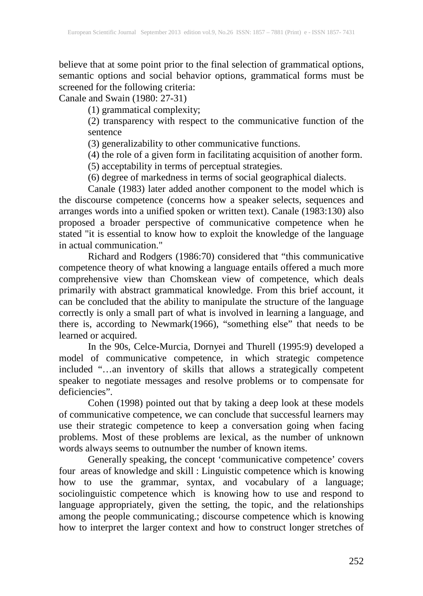believe that at some point prior to the final selection of grammatical options, semantic options and social behavior options, grammatical forms must be screened for the following criteria:

Canale and Swain (1980: 27-31)

(1) grammatical complexity;

(2) transparency with respect to the communicative function of the sentence

(3) generalizability to other communicative functions.

(4) the role of a given form in facilitating acquisition of another form.

(5) acceptability in terms of perceptual strategies.

(6) degree of markedness in terms of social geographical dialects.

Canale (1983) later added another component to the model which is the discourse competence (concerns how a speaker selects, sequences and arranges words into a unified spoken or written text). Canale (1983:130) also proposed a broader perspective of communicative competence when he stated "it is essential to know how to exploit the knowledge of the language in actual communication."

Richard and Rodgers (1986:70) considered that "this communicative competence theory of what knowing a language entails offered a much more comprehensive view than Chomskean view of competence, which deals primarily with abstract grammatical knowledge. From this brief account, it can be concluded that the ability to manipulate the structure of the language correctly is only a small part of what is involved in learning a language, and there is, according to Newmark(1966), "something else" that needs to be learned or acquired.

In the 90s, Celce-Murcia, Dornyei and Thurell (1995:9) developed a model of communicative competence, in which strategic competence included "…an inventory of skills that allows a strategically competent speaker to negotiate messages and resolve problems or to compensate for deficiencies".

Cohen (1998) pointed out that by taking a deep look at these models of communicative competence, we can conclude that successful learners may use their strategic competence to keep a conversation going when facing problems. Most of these problems are lexical, as the number of unknown words always seems to outnumber the number of known items.

Generally speaking, the concept 'communicative competence' covers four areas of knowledge and skill : Linguistic competence which is knowing how to use the grammar, syntax, and vocabulary of a language; sociolinguistic competence which is knowing how to use and respond to language appropriately, given the setting, the topic, and the relationships among the people communicating.; discourse competence which is knowing how to interpret the larger context and how to construct longer stretches of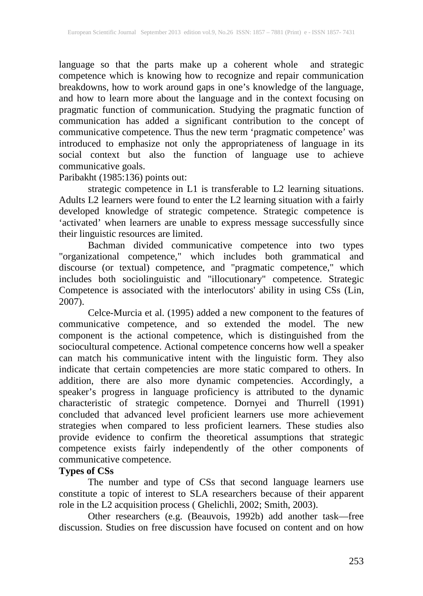language so that the parts make up a coherent whole and strategic competence which is knowing how to recognize and repair communication breakdowns, how to work around gaps in one's knowledge of the language, and how to learn more about the language and in the context focusing on pragmatic function of communication. Studying the pragmatic function of communication has added a significant contribution to the concept of communicative competence. Thus the new term 'pragmatic competence' was introduced to emphasize not only the appropriateness of language in its social context but also the function of language use to achieve communicative goals.

## Paribakht (1985:136) points out:

strategic competence in L1 is transferable to L2 learning situations. Adults L2 learners were found to enter the L2 learning situation with a fairly developed knowledge of strategic competence. Strategic competence is 'activated' when learners are unable to express message successfully since their linguistic resources are limited.

Bachman divided communicative competence into two types "organizational competence," which includes both grammatical and discourse (or textual) competence, and "pragmatic competence," which includes both sociolinguistic and "illocutionary" competence. Strategic Competence is associated with the interlocutors' ability in using CSs (Lin, 2007).

Celce-Murcia et al. (1995) added a new component to the features of communicative competence, and so extended the model. The new component is the actional competence, which is distinguished from the sociocultural competence. Actional competence concerns how well a speaker can match his communicative intent with the linguistic form. They also indicate that certain competencies are more static compared to others. In addition, there are also more dynamic competencies. Accordingly, a speaker's progress in language proficiency is attributed to the dynamic characteristic of strategic competence. Dornyei and Thurrell (1991) concluded that advanced level proficient learners use more achievement strategies when compared to less proficient learners. These studies also provide evidence to confirm the theoretical assumptions that strategic competence exists fairly independently of the other components of communicative competence.

# **Types of CSs**

The number and type of CSs that second language learners use constitute a topic of interest to SLA researchers because of their apparent role in the L2 acquisition process ( Ghelichli, 2002; Smith, 2003).

Other researchers (e.g. (Beauvois, 1992b) add another task—free discussion. Studies on free discussion have focused on content and on how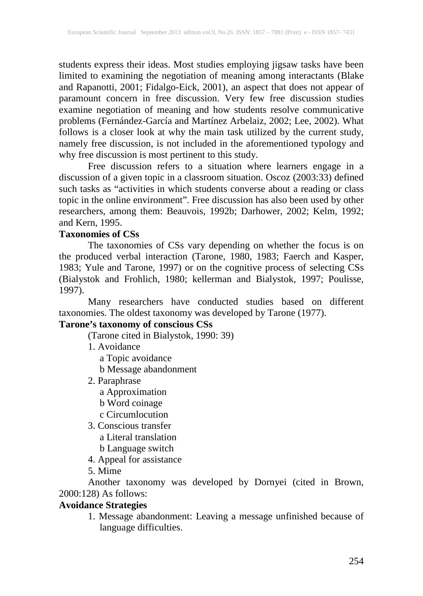students express their ideas. Most studies employing jigsaw tasks have been limited to examining the negotiation of meaning among interactants (Blake and Rapanotti, 2001; Fidalgo-Eick, 2001), an aspect that does not appear of paramount concern in free discussion. Very few free discussion studies examine negotiation of meaning and how students resolve communicative problems (Fernández-García and Martínez Arbelaiz, 2002; Lee, 2002). What follows is a closer look at why the main task utilized by the current study, namely free discussion, is not included in the aforementioned typology and why free discussion is most pertinent to this study.

Free discussion refers to a situation where learners engage in a discussion of a given topic in a classroom situation. Oscoz (2003:33) defined such tasks as "activities in which students converse about a reading or class topic in the online environment". Free discussion has also been used by other researchers, among them: Beauvois, 1992b; Darhower, 2002; Kelm, 1992; and Kern, 1995.

### **Taxonomies of CSs**

The taxonomies of CSs vary depending on whether the focus is on the produced verbal interaction (Tarone, 1980, 1983; Faerch and Kasper, 1983; Yule and Tarone, 1997) or on the cognitive process of selecting CSs (Bialystok and Frohlich, 1980; kellerman and Bialystok, 1997; Poulisse, 1997).

Many researchers have conducted studies based on different taxonomies. The oldest taxonomy was developed by Tarone (1977).

### **Tarone's taxonomy of conscious CSs**

(Tarone cited in Bialystok, 1990: 39)

- 1. Avoidance
	- a Topic avoidance
	- b Message abandonment
- 2. Paraphrase
	- a Approximation
	- b Word coinage
	- c Circumlocution
- 3. Conscious transfer
	- a Literal translation
	- b Language switch
- 4. Appeal for assistance
- 5. Mime

Another taxonomy was developed by Dornyei (cited in Brown, 2000:128) As follows:

### **Avoidance Strategies**

1. Message abandonment: Leaving a message unfinished because of language difficulties.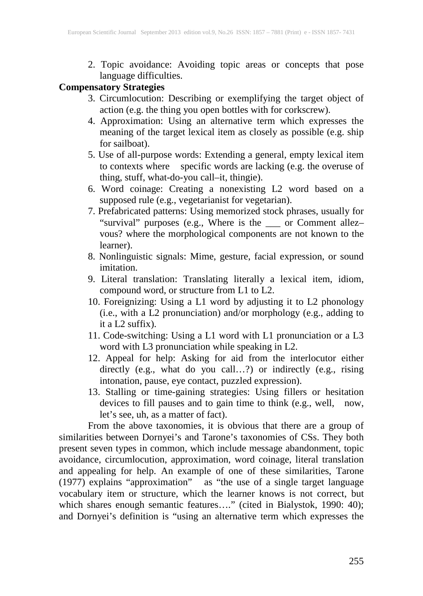2. Topic avoidance: Avoiding topic areas or concepts that pose language difficulties.

# **Compensatory Strategies**

- 3. Circumlocution: Describing or exemplifying the target object of action (e.g. the thing you open bottles with for corkscrew).
- 4. Approximation: Using an alternative term which expresses the meaning of the target lexical item as closely as possible (e.g. ship for sailboat).
- 5. Use of all-purpose words: Extending a general, empty lexical item to contexts where specific words are lacking (e.g. the overuse of thing, stuff, what-do-you call–it, thingie).
- 6. Word coinage: Creating a nonexisting L2 word based on a supposed rule (e.g., vegetarianist for vegetarian).
- 7. Prefabricated patterns: Using memorized stock phrases, usually for "survival" purposes (e.g., Where is the \_\_\_ or Comment allez– vous? where the morphological components are not known to the learner).
- 8. Nonlinguistic signals: Mime, gesture, facial expression, or sound imitation.
- 9. Literal translation: Translating literally a lexical item, idiom, compound word, or structure from L1 to L2.
- 10. Foreignizing: Using a L1 word by adjusting it to L2 phonology (i.e., with a L2 pronunciation) and/or morphology (e.g., adding to it a L2 suffix).
- 11. Code-switching: Using a L1 word with L1 pronunciation or a L3 word with L3 pronunciation while speaking in L2.
- 12. Appeal for help: Asking for aid from the interlocutor either directly (e.g., what do you call…?) or indirectly (e.g., rising intonation, pause, eye contact, puzzled expression).
- 13. Stalling or time-gaining strategies: Using fillers or hesitation devices to fill pauses and to gain time to think (e.g., well, now, let's see, uh, as a matter of fact).

From the above taxonomies, it is obvious that there are a group of similarities between Dornyei's and Tarone's taxonomies of CSs. They both present seven types in common, which include message abandonment, topic avoidance, circumlocution, approximation, word coinage, literal translation and appealing for help. An example of one of these similarities, Tarone (1977) explains "approximation" as "the use of a single target language vocabulary item or structure, which the learner knows is not correct, but which shares enough semantic features…." (cited in Bialystok, 1990: 40); and Dornyei's definition is "using an alternative term which expresses the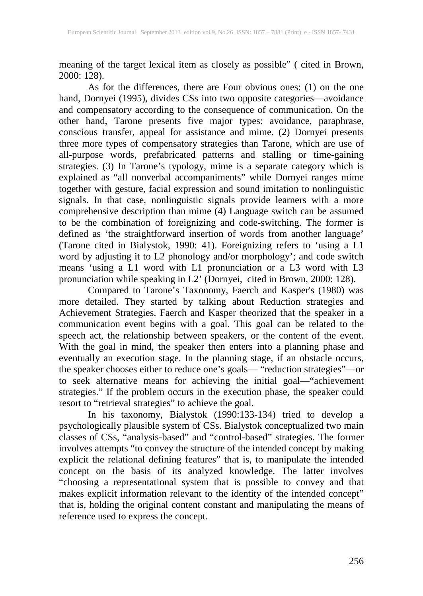meaning of the target lexical item as closely as possible" ( cited in Brown, 2000: 128).<br>As for the differences, there are Four obvious ones: (1) on the one

As for the differences, there are Four obvious ones: (1) on the one hand, Dornyei (1995), divides CSs into two opposite categories—avoidance and compensatory according to the consequence of communication. On the other hand, Tarone presents five major types: avoidance, paraphrase, conscious transfer, appeal for assistance and mime. (2) Dornyei presents three more types of compensatory strategies than Tarone, which are use of all-purpose words, prefabricated patterns and stalling or time-gaining strategies. (3) In Tarone's typology, mime is a separate category which is explained as "all nonverbal accompaniments" while Dornyei ranges mime together with gesture, facial expression and sound imitation to nonlinguistic signals. In that case, nonlinguistic signals provide learners with a more comprehensive description than mime (4) Language switch can be assumed to be the combination of foreignizing and code-switching. The former is defined as 'the straightforward insertion of words from another language' (Tarone cited in Bialystok, 1990: 41). Foreignizing refers to 'using a L1 word by adjusting it to L2 phonology and/or morphology'; and code switch means 'using a L1 word with L1 pronunciation or a L3 word with L3 pronunciation while speaking in L2' (Dornyei, cited in Brown, 2000: 128).

Compared to Tarone's Taxonomy, Faerch and Kasper's (1980) was more detailed. They started by talking about Reduction strategies and Achievement Strategies. Faerch and Kasper theorized that the speaker in a communication event begins with a goal. This goal can be related to the speech act, the relationship between speakers, or the content of the event. With the goal in mind, the speaker then enters into a planning phase and eventually an execution stage. In the planning stage, if an obstacle occurs, the speaker chooses either to reduce one's goals— "reduction strategies"—or to seek alternative means for achieving the initial goal—"achievement strategies." If the problem occurs in the execution phase, the speaker could resort to "retrieval strategies" to achieve the goal.

In his taxonomy, Bialystok (1990:133-134) tried to develop a psychologically plausible system of CSs. Bialystok conceptualized two main classes of CSs, "analysis-based" and "control-based" strategies. The former involves attempts "to convey the structure of the intended concept by making explicit the relational defining features" that is, to manipulate the intended concept on the basis of its analyzed knowledge. The latter involves "choosing a representational system that is possible to convey and that makes explicit information relevant to the identity of the intended concept" that is, holding the original content constant and manipulating the means of reference used to express the concept.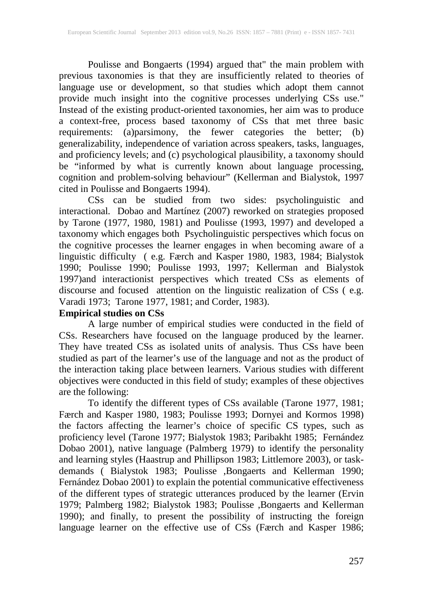Poulisse and Bongaerts (1994) argued that" the main problem with previous taxonomies is that they are insufficiently related to theories of language use or development, so that studies which adopt them cannot provide much insight into the cognitive processes underlying CSs use." Instead of the existing product-oriented taxonomies, her aim was to produce a context-free, process based taxonomy of CSs that met three basic requirements: (a)parsimony, the fewer categories the better; (b) generalizability, independence of variation across speakers, tasks, languages, and proficiency levels; and (c) psychological plausibility, a taxonomy should be "informed by what is currently known about language processing, cognition and problem-solving behaviour" (Kellerman and Bialystok, 1997 cited in Poulisse and Bongaerts 1994).

CSs can be studied from two sides: psycholinguistic and interactional*.* Dobao and Martínez (2007) reworked on strategies proposed by Tarone (1977, 1980, 1981) and Poulisse (1993, 1997) and developed a taxonomy which engages both Psycholinguistic perspectives which focus on the cognitive processes the learner engages in when becoming aware of a linguistic difficulty ( e.g. Færch and Kasper 1980, 1983, 1984; Bialystok 1990; Poulisse 1990; Poulisse 1993, 1997; Kellerman and Bialystok 1997)and interactionist perspectives which treated CSs as elements of discourse and focused attention on the linguistic realization of CSs ( e.g. discourse and focused attention on the linguistic realization of CSs (e.g. Varadi 1973; Tarone 1977, 1981; and Corder, 1983).

# **Empirical studies on CSs**

A large number of empirical studies were conducted in the field of CSs. Researchers have focused on the language produced by the learner. They have treated CSs as isolated units of analysis. Thus CSs have been studied as part of the learner's use of the language and not as the product of the interaction taking place between learners. Various studies with different objectives were conducted in this field of study; examples of these objectives are the following:

To identify the different types of CSs available (Tarone 1977, 1981; Færch and Kasper 1980, 1983; Poulisse 1993; Dornyei and Kormos 1998) the factors affecting the learner's choice of specific CS types, such as proficiency level (Tarone 1977; Bialystok 1983; Paribakht 1985; Fernández Dobao 2001), native language (Palmberg 1979) to identify the personality and learning styles (Haastrup and Phillipson 1983; Littlemore 2003), or taskdemands ( Bialystok 1983; Poulisse ,Bongaerts and Kellerman 1990; Fernández Dobao 2001) to explain the potential communicative effectiveness of the different types of strategic utterances produced by the learner (Ervin 1979; Palmberg 1982; Bialystok 1983; Poulisse ,Bongaerts and Kellerman 1990); and finally, to present the possibility of instructing the foreign language learner on the effective use of CSs (Færch and Kasper 1986;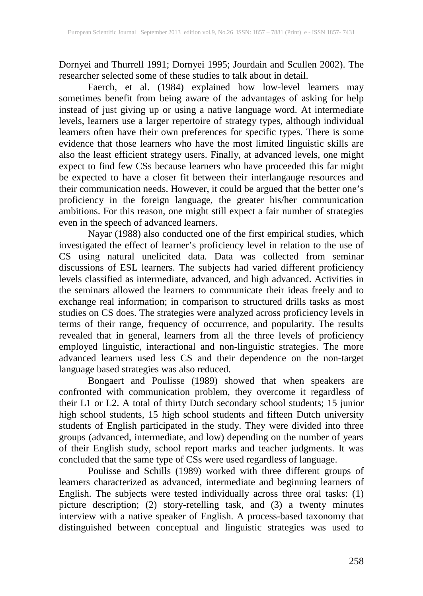Dornyei and Thurrell 1991; Dornyei 1995; Jourdain and Scullen 2002). The researcher selected some of these studies to talk about in detail.

Faerch, et al. (1984) explained how low-level learners may sometimes benefit from being aware of the advantages of asking for help instead of just giving up or using a native language word. At intermediate levels, learners use a larger repertoire of strategy types, although individual learners often have their own preferences for specific types. There is some evidence that those learners who have the most limited linguistic skills are also the least efficient strategy users. Finally, at advanced levels, one might expect to find few CSs because learners who have proceeded this far might be expected to have a closer fit between their interlangauge resources and their communication needs. However, it could be argued that the better one's proficiency in the foreign language, the greater his/her communication ambitions. For this reason, one might still expect a fair number of strategies even in the speech of advanced learners.

Nayar (1988) also conducted one of the first empirical studies, which investigated the effect of learner's proficiency level in relation to the use of CS using natural unelicited data. Data was collected from seminar discussions of ESL learners. The subjects had varied different proficiency levels classified as intermediate, advanced, and high advanced. Activities in the seminars allowed the learners to communicate their ideas freely and to exchange real information; in comparison to structured drills tasks as most studies on CS does. The strategies were analyzed across proficiency levels in terms of their range, frequency of occurrence, and popularity. The results revealed that in general, learners from all the three levels of proficiency employed linguistic, interactional and non-linguistic strategies. The more advanced learners used less CS and their dependence on the non-target language based strategies was also reduced.

Bongaert and Poulisse (1989) showed that when speakers are confronted with communication problem, they overcome it regardless of their L1 or L2. A total of thirty Dutch secondary school students; 15 junior high school students, 15 high school students and fifteen Dutch university students of English participated in the study. They were divided into three groups (advanced, intermediate, and low) depending on the number of years of their English study, school report marks and teacher judgments. It was concluded that the same type of CSs were used regardless of language.

Poulisse and Schills (1989) worked with three different groups of learners characterized as advanced, intermediate and beginning learners of English. The subjects were tested individually across three oral tasks: (1) picture description; (2) story-retelling task, and (3) a twenty minutes interview with a native speaker of English. A process-based taxonomy that distinguished between conceptual and linguistic strategies was used to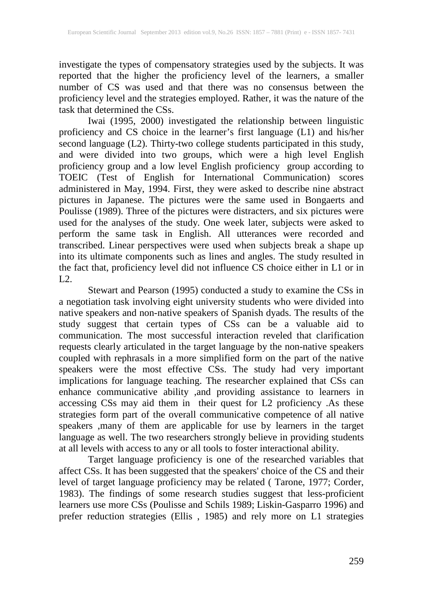investigate the types of compensatory strategies used by the subjects. It was reported that the higher the proficiency level of the learners, a smaller number of CS was used and that there was no consensus between the proficiency level and the strategies employed. Rather, it was the nature of the task that determined the CSs.

Iwai (1995, 2000) investigated the relationship between linguistic proficiency and CS choice in the learner's first language (L1) and his/her second language (L2). Thirty-two college students participated in this study, and were divided into two groups, which were a high level English proficiency group and a low level English proficiency group according to TOEIC (Test of English for International Communication) scores administered in May, 1994. First, they were asked to describe nine abstract pictures in Japanese. The pictures were the same used in Bongaerts and Poulisse (1989). Three of the pictures were distracters, and six pictures were used for the analyses of the study. One week later, subjects were asked to perform the same task in English. All utterances were recorded and transcribed. Linear perspectives were used when subjects break a shape up into its ultimate components such as lines and angles. The study resulted in the fact that, proficiency level did not influence CS choice either in L1 or in L2.

Stewart and Pearson (1995) conducted a study to examine the CSs in a negotiation task involving eight university students who were divided into native speakers and non-native speakers of Spanish dyads. The results of the study suggest that certain types of CSs can be a valuable aid to communication. The most successful interaction reveled that clarification requests clearly articulated in the target language by the non-native speakers coupled with rephrasals in a more simplified form on the part of the native speakers were the most effective CSs. The study had very important implications for language teaching. The researcher explained that CSs can enhance communicative ability ,and providing assistance to learners in accessing CSs may aid them in their quest for L2 proficiency .As these strategies form part of the overall communicative competence of all native speakers ,many of them are applicable for use by learners in the target language as well. The two researchers strongly believe in providing students at all levels with access to any or all tools to foster interactional ability.

Target language proficiency is one of the researched variables that affect CSs. It has been suggested that the speakers' choice of the CS and their level of target language proficiency may be related ( Tarone, 1977; Corder, 1983). The findings of some research studies suggest that less-proficient learners use more CSs (Poulisse and Schils 1989; Liskin-Gasparro 1996) and prefer reduction strategies (Ellis , 1985) and rely more on L1 strategies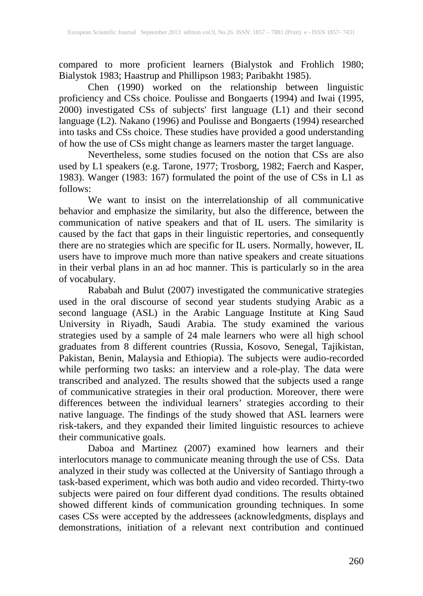compared to more proficient learners (Bialystok and Frohlich 1980; Bialystok 1983; Haastrup and Phillipson 1983; Paribakht 1985).

Chen (1990) worked on the relationship between linguistic proficiency and CSs choice. Poulisse and Bongaerts (1994) and Iwai (1995, 2000) investigated CSs of subjects' first language (L1) and their second language (L2). Nakano (1996) and Poulisse and Bongaerts (1994) researched into tasks and CSs choice. These studies have provided a good understanding of how the use of CSs might change as learners master the target language.

Nevertheless, some studies focused on the notion that CSs are also used by L1 speakers (e.g. Tarone, 1977; Trosborg, 1982; Faerch and Kasper, 1983). Wanger (1983: 167) formulated the point of the use of CSs in L1 as follows:

We want to insist on the interrelationship of all communicative behavior and emphasize the similarity, but also the difference, between the communication of native speakers and that of IL users. The similarity is caused by the fact that gaps in their linguistic repertories, and consequently there are no strategies which are specific for IL users. Normally, however, IL users have to improve much more than native speakers and create situations in their verbal plans in an ad hoc manner. This is particularly so in the area of vocabulary.

Rababah and Bulut (2007) investigated the communicative strategies used in the oral discourse of second year students studying Arabic as a second language (ASL) in the Arabic Language Institute at King Saud University in Riyadh, Saudi Arabia. The study examined the various strategies used by a sample of 24 male learners who were all high school graduates from 8 different countries (Russia, Kosovo, Senegal, Tajikistan, Pakistan, Benin, Malaysia and Ethiopia). The subjects were audio-recorded while performing two tasks: an interview and a role-play. The data were transcribed and analyzed. The results showed that the subjects used a range of communicative strategies in their oral production. Moreover, there were differences between the individual learners' strategies according to their native language. The findings of the study showed that ASL learners were risk-takers, and they expanded their limited linguistic resources to achieve their communicative goals.

Daboa and Martinez (2007) examined how learners and their interlocutors manage to communicate meaning through the use of CSs. Data analyzed in their study was collected at the University of Santiago through a task-based experiment, which was both audio and video recorded. Thirty-two subjects were paired on four different dyad conditions. The results obtained showed different kinds of communication grounding techniques. In some cases CSs were accepted by the addressees (acknowledgments, displays and demonstrations, initiation of a relevant next contribution and continued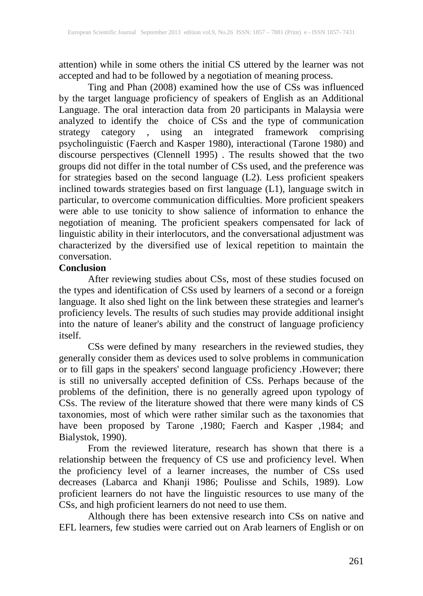attention) while in some others the initial CS uttered by the learner was not accepted and had to be followed by a negotiation of meaning process.

Ting and Phan (2008) examined how the use of CSs was influenced by the target language proficiency of speakers of English as an Additional Language. The oral interaction data from 20 participants in Malaysia were analyzed to identify the choice of CSs and the type of communication strategy category , using an integrated framework comprising psycholinguistic (Faerch and Kasper 1980), interactional (Tarone 1980) and discourse perspectives (Clennell 1995) . The results showed that the two groups did not differ in the total number of CSs used, and the preference was for strategies based on the second language (L2). Less proficient speakers inclined towards strategies based on first language (L1), language switch in particular, to overcome communication difficulties. More proficient speakers were able to use tonicity to show salience of information to enhance the negotiation of meaning. The proficient speakers compensated for lack of linguistic ability in their interlocutors, and the conversational adjustment was characterized by the diversified use of lexical repetition to maintain the conversation.

### **Conclusion**

After reviewing studies about CSs, most of these studies focused on the types and identification of CSs used by learners of a second or a foreign language. It also shed light on the link between these strategies and learner's proficiency levels. The results of such studies may provide additional insight into the nature of leaner's ability and the construct of language proficiency itself.

CSs were defined by many researchers in the reviewed studies, they generally consider them as devices used to solve problems in communication or to fill gaps in the speakers' second language proficiency .However; there is still no universally accepted definition of CSs. Perhaps because of the problems of the definition, there is no generally agreed upon typology of CSs. The review of the literature showed that there were many kinds of CS taxonomies, most of which were rather similar such as the taxonomies that have been proposed by Tarone ,1980; Faerch and Kasper ,1984; and Bialystok, 1990).

From the reviewed literature, research has shown that there is a relationship between the frequency of CS use and proficiency level. When the proficiency level of a learner increases, the number of CSs used decreases (Labarca and Khanji 1986; Poulisse and Schils, 1989). Low proficient learners do not have the linguistic resources to use many of the CSs, and high proficient learners do not need to use them.

Although there has been extensive research into CSs on native and EFL learners, few studies were carried out on Arab learners of English or on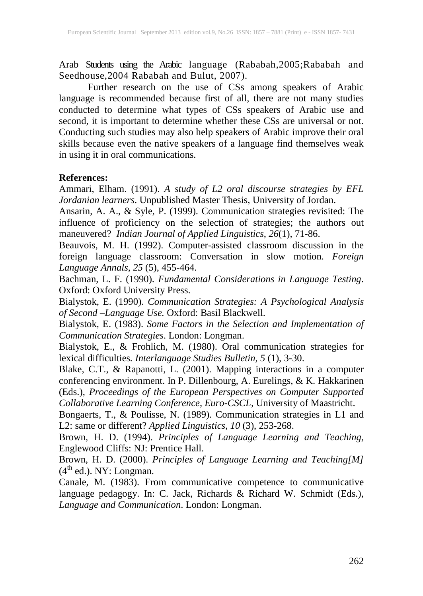Arab Students using the Arabic language (Rababah,2005;Rababah and Seedhouse,2004 Rababah and Bulut, 2007).

Further research on the use of CSs among speakers of Arabic language is recommended because first of all, there are not many studies conducted to determine what types of CSs speakers of Arabic use and second, it is important to determine whether these CSs are universal or not. Conducting such studies may also help speakers of Arabic improve their oral skills because even the native speakers of a language find themselves weak in using it in oral communications.

### **References:**

Ammari, Elham. (1991). *A study of L2 oral discourse strategies by EFL Jordanian learners*. Unpublished Master Thesis, University of Jordan.

Ansarin, A. A., & Syle, P. (1999). Communication strategies revisited: The influence of proficiency on the selection of strategies; the authors out maneuvered? *Indian Journal of Applied Linguistics*, *26*(1), 71-86.

Beauvois, M. H. (1992). Computer-assisted classroom discussion in the foreign language classroom: Conversation in slow motion. *Foreign Language Annals, 25* (5), 455-464.

Bachman, L. F. (1990). *Fundamental Considerations in Language Testing*. Oxford: Oxford University Press.

Bialystok, E. (1990). *Communication Strategies: A Psychological Analysis of Second –Language Use.* Oxford: Basil Blackwell.

Bialystok, E. (1983). *Some Factors in the Selection and Implementation of Communication Strategies*. London: Longman.

Bialystok, E., & Frohlich, M. (1980). Oral communication strategies for lexical difficulties*. Interlanguage Studies Bulletin, 5* (1), 3-30.

Blake, C.T., & Rapanotti, L. (2001). Mapping interactions in a computer conferencing environment. In P. Dillenbourg, A. Eurelings, & K. Hakkarinen (Eds.), *Proceedings of the European Perspectives on Computer Supported Collaborative Learning Conference, Euro-CSCL*, University of Maastricht.

Bongaerts, T., & Poulisse, N. (1989). Communication strategies in L1 and L2: same or different? *Applied Linguistics*, *10* (3), 253-268.

Brown, H. D. (1994). *Principles of Language Learning and Teaching,* Englewood Cliffs: NJ: Prentice Hall.

Brown, H. D. (2000). *Principles of Language Learning and Teaching[M]*   $(4<sup>th</sup>$  ed.). NY: Longman.

Canale, M. (1983). From communicative competence to communicative language pedagogy. In: C. Jack, Richards & Richard W. Schmidt (Eds.), *Language and Communication*. London: Longman.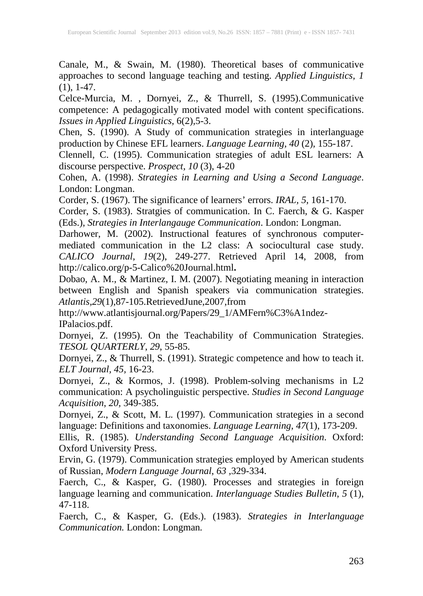Canale, M., & Swain, M. (1980). Theoretical bases of communicative approaches to second language teaching and testing. *Applied Linguistics, 1*  $(1), 1-47.$ 

Celce-Murcia, M. , Dornyei, Z., & Thurrell, S. (1995).Communicative competence: A pedagogically motivated model with content specifications. *Issues in Applied Linguistics*, 6(2),5-3.

Chen, S. (1990). A Study of communication strategies in interlanguage production by Chinese EFL learners. *Language Learning, 40* (2), 155-187.

Clennell, C. (1995). Communication strategies of adult ESL learners: A discourse perspective. *Prospect, 10* (3), 4-20

Cohen, A. (1998). *Strategies in Learning and Using a Second Language*. London: Longman.

Corder, S. (1967). The significance of learners' errors. *IRAL, 5,* 161-170.

Corder, S. (1983). Stratgies of communication. In C. Faerch, & G. Kasper (Eds.), *Strategies in Interlangauge Communication*. London: Longman.

Darhower, M. (2002). Instructional features of synchronous computermediated communication in the L2 class: A sociocultural case study. *CALICO Journal, 19*(2), 249-277. Retrieved April 14, 2008, from http://calico.org/p-5-Calico%20Journal.html**.**

Dobao, A. M., & Martinez, I. M. (2007). Negotiating meaning in interaction between English and Spanish speakers via communication strategies. *Atlantis,29*(1),87-105.RetrievedJune,2007,from

http://www.atlantisjournal.org/Papers/29\_1/AMFern%C3%A1ndez-IPalacios.pdf.

Dornyei, Z. (1995). On the Teachability of Communication Strategies. *TESOL QUARTERLY*, *29*, 55-85.

Dornyei, Z., & Thurrell, S. (1991). Strategic competence and how to teach it. *ELT Journal, 45,* 16-23.

Dornyei, Z., & Kormos, J. (1998). Problem-solving mechanisms in L2 communication: A psycholinguistic perspective. *Studies in Second Language Acquisition*, *20,* 349-385.

Dornyei, Z., & Scott, M. L. (1997). Communication strategies in a second language: Definitions and taxonomies. *Language Learning*, *47*(1), 173-209.

Ellis, R. (1985). *Understanding Second Language Acquisition*. Oxford: Oxford University Press.

Ervin, G. (1979). Communication strategies employed by American students of Russian, *Modern Language Journal*, *63 ,*329-334.

Faerch, C., & Kasper, G. (1980). Processes and strategies in foreign language learning and communication. *Interlanguage Studies Bulletin*, *5* (1), 47-118.

Faerch, C., & Kasper, G. (Eds.). (1983). *Strategies in Interlanguage Communication.* London: Longman*.*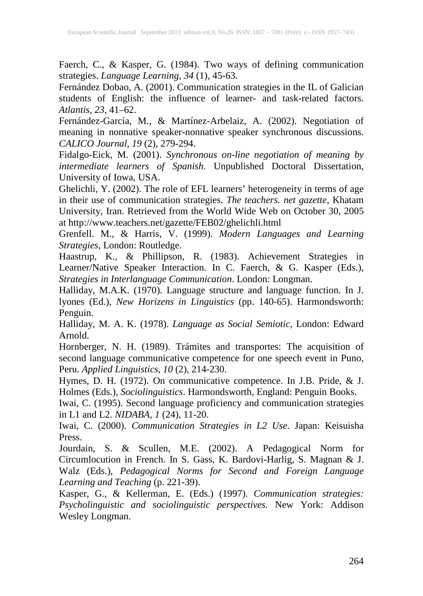Faerch, C., & Kasper, G. (1984). Two ways of defining communication strategies. *Language Learning, 34* (1), 45-63*.*

Fernández Dobao, A. (2001). Communication strategies in the IL of Galician students of English: the influence of learner- and task-related factors. *Atlantis, 23,* 41–62.

Fernández-García, M., & Martínez-Arbelaiz, A. (2002). Negotiation of meaning in nonnative speaker-nonnative speaker synchronous discussions. *CALICO Journal, 19* (2), 279-294.

Fidalgo-Eick, M. (2001). *Synchronous on-line negotiation of meaning by intermediate learners of Spanish*. Unpublished Doctoral Dissertation, University of Iowa, USA.

Ghelichli, Y. (2002). The role of EFL learners' heterogeneity in terms of age in their use of communication strategies. *The teachers. net gazette*, Khatam University, Iran. Retrieved from the World Wide Web on October 30, 2005 at http://www.teachers.net/gazette/FEB02/ghelichli.html

Grenfell. M., & Harris, V. (1999). *Modern Languages and Learning Strategies*, London: Routledge.

Haastrup, K., & Phillipson, R. (1983). Achievement Strategies in Learner/Native Speaker Interaction. In C. Faerch, & G. Kasper (Eds.), *Strategies in Interlanguage Communication*. London: Longman.

Halliday, M.A.K. (1970). Language structure and language function. In J. lyones (Ed.), *New Horizens in Linguistics* (pp. 140-65). Harmondsworth: Penguin.

Halliday, M. A. K. (1978). *Language as Social Semiotic*, London: Edward Arnold.

Hornberger, N. H. (1989). Trámites and transportes: The acquisition of second language communicative competence for one speech event in Puno, Peru. *Applied Linguistics*, *10* (2), 214-230.

Hymes, D. H. (1972). On communicative competence. In J.B. Pride, & J. Holmes (Eds.), *Sociolinguistics*. Harmondsworth, England: Penguin Books.

Iwai, C. (1995). Second language proficiency and communication strategies in L1 and L2. *NIDABA*, *1* (24), 11-20.

Iwai, C. (2000). *Communication Strategies in L2 Use*. Japan: Keisuisha Press.

Jourdain, S. & Scullen, M.E. (2002). A Pedagogical Norm for Circumlocution in French. In S. Gass, K. Bardovi-Harlig, S. Magnan & J. Walz (Eds.), *Pedagogical Norms for Second and Foreign Language Learning and Teaching* (p. 221-39).

Kasper, G., & Kellerman, E. (Eds.) (1997). *Communication strategies: Psycholinguistic and sociolinguistic perspectives.* New York: Addison Wesley Longman.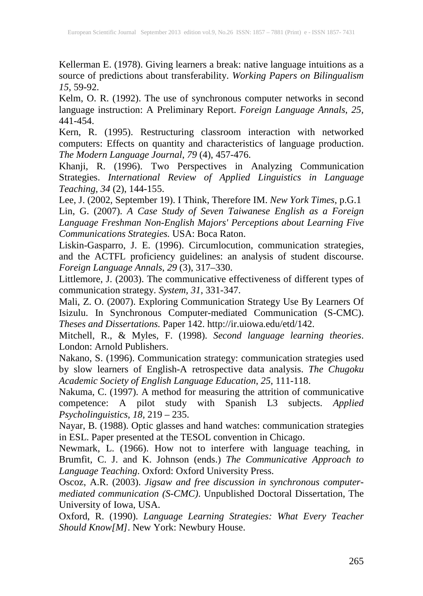Kellerman E. (1978). Giving learners a break: native language intuitions as a source of predictions about transferability. *Working Papers on Bilingualism 15*, 59-92.

Kelm, O. R. (1992). The use of synchronous computer networks in second language instruction: A Preliminary Report. *Foreign Language Annals*, *25,* 441-454.

Kern, R. (1995). Restructuring classroom interaction with networked computers: Effects on quantity and characteristics of language production. *The Modern Language Journal*, *79* (4), 457-476.

Khanji, R. (1996). Two Perspectives in Analyzing Communication Strategies. *International Review of Applied Linguistics in Language Teaching, 34* (2), 144-155.

Lee, J. (2002, September 19). I Think, Therefore IM. *New York Times*, p.G.1 Lin, G. (2007). *A Case Study of Seven Taiwanese English as a Foreign Language Freshman Non-English Majors' Perceptions about Learning Five Communications Strategies.* USA: Boca Raton.

Liskin-Gasparro, J. E. (1996). Circumlocution, communication strategies, and the ACTFL proficiency guidelines: an analysis of student discourse. *Foreign Language Annals*, *29* (3), 317–330.

Littlemore, J. (2003). The communicative effectiveness of different types of communication strategy. *System, 31*, 331-347.

Mali, Z. O. (2007). Exploring Communication Strategy Use By Learners Of Isizulu. In Synchronous Computer-mediated Communication (S-CMC). *Theses and Dissertations.* Paper 142. http://ir.uiowa.edu/etd/142.

Mitchell, R., & Myles, F. (1998). *Second language learning theories*. London: Arnold Publishers.

Nakano, S. (1996). Communication strategy: communication strategies used by slow learners of English-A retrospective data analysis. *The Chugoku Academic Society of English Language Education*, *25*, 111-118.

Nakuma, C. (1997). A method for measuring the attrition of communicative competence: A pilot study with Spanish L3 subjects. *Applied Psycholinguistics*, *18,* 219 – 235.

Nayar, B. (1988). Optic glasses and hand watches: communication strategies in ESL. Paper presented at the TESOL convention in Chicago.

Newmark, L. (1966). How not to interfere with language teaching, in Brumfit, C. J. and K. Johnson (ends.) *The Communicative Approach to Language Teaching*. Oxford: Oxford University Press.

Oscoz, A.R. (2003). *Jigsaw and free discussion in synchronous computermediated communication (S-CMC)*. Unpublished Doctoral Dissertation, The University of Iowa, USA.

Oxford, R. (1990). *Language Learning Strategies: What Every Teacher Should Know[M]*. New York: Newbury House.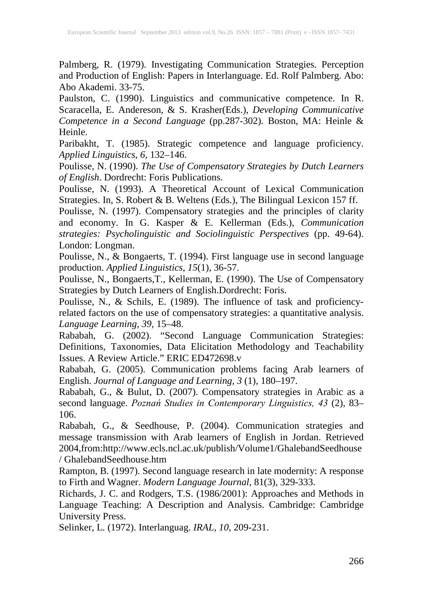Palmberg, R. (1979). Investigating Communication Strategies. Perception and Production of English: Papers in Interlanguage. Ed. Rolf Palmberg. Abo: Abo Akademi. 33-75.

Paulston, C. (1990). Linguistics and communicative competence. In R. Scaracella, E. Andereson, & S. Krasher(Eds.), *Developing Communicative Competence in a Second Language* (pp.287-302). Boston, MA: Heinle & Heinle.

Paribakht, T. (1985). Strategic competence and language proficiency. *Applied Linguistics*, *6*, 132–146.

Poulisse, N. (1990). *The Use of Compensatory Strategies by Dutch Learners of English*. Dordrecht: Foris Publications.

Poulisse, N. (1993). A Theoretical Account of Lexical Communication Strategies. In, S. Robert & B. Weltens (Eds.), The Bilingual Lexicon 157 ff.

Poulisse, N. (1997). Compensatory strategies and the principles of clarity and economy. In G. Kasper & E. Kellerman (Eds.), *Communication strategies: Psycholinguistic and Sociolinguistic Perspectives* (pp. 49-64). London: Longman.

Poulisse, N., & Bongaerts, T. (1994). First language use in second language production. *Applied Linguistics, 15*(1), 36-57.

Poulisse, N., Bongaerts,T., Kellerman, E. (1990). The Use of Compensatory Strategies by Dutch Learners of English.Dordrecht: Foris.

Poulisse, N., & Schils, E. (1989). The influence of task and proficiencyrelated factors on the use of compensatory strategies: a quantitative analysis. *Language Learning*, *39*, 15–48.

Rababah, G. (2002). "Second Language Communication Strategies: Definitions, Taxonomies, Data Elicitation Methodology and Teachability Issues. A Review Article." ERIC ED472698.v

Rababah, G. (2005). Communication problems facing Arab learners of English. *Journal of Language and Learning, 3* (1), 180–197.

Rababah, G., & Bulut, D. (2007). Compensatory strategies in Arabic as a second language. *Poznań Studies in Contemporary Linguistics, 43* (2), 83– 106.

Rababah, G., & Seedhouse, P. (2004). Communication strategies and message transmission with Arab learners of English in Jordan. Retrieved 2004,from:http://www.ecls.ncl.ac.uk/publish/Volume1/GhalebandSeedhouse / GhalebandSeedhouse.htm

Rampton, B. (1997). Second language research in late modernity: A response to Firth and Wagner. *Modern Language Journal*, 81(3), 329-333.

Richards, J. C. and Rodgers, T.S. (1986/2001): Approaches and Methods in Language Teaching: A Description and Analysis. Cambridge: Cambridge University Press.

Selinker, L. (1972). Interlanguag. *IRAL*, *10*, 209-231.